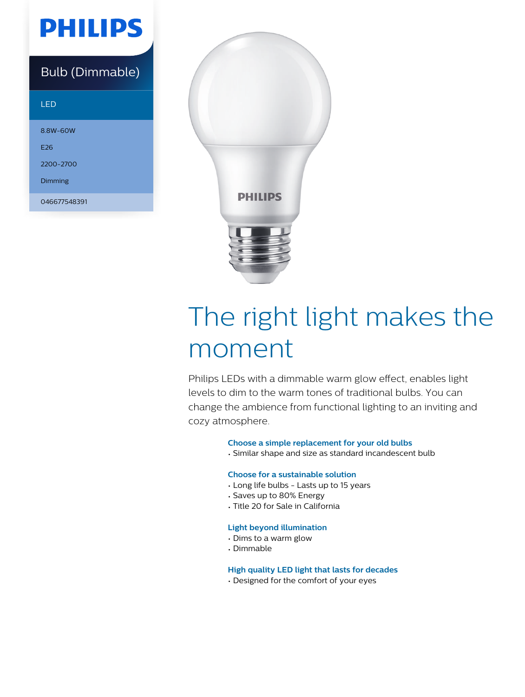## **PHILIPS**

### Bulb (Dimmable)

### LED

8.8W-60W E26 2200-2700 Dimming

046677548391



# The right light makes the moment

Philips LEDs with a dimmable warm glow effect, enables light levels to dim to the warm tones of traditional bulbs. You can change the ambience from functional lighting to an inviting and cozy atmosphere.

### **Choose a simple replacement for your old bulbs**

• Similar shape and size as standard incandescent bulb

### **Choose for a sustainable solution**

- Long life bulbs Lasts up to 15 years
- Saves up to 80% Energy
- Title 20 for Sale in California

### **Light beyond illumination**

- Dims to a warm glow
- Dimmable

**High quality LED light that lasts for decades**

• Designed for the comfort of your eyes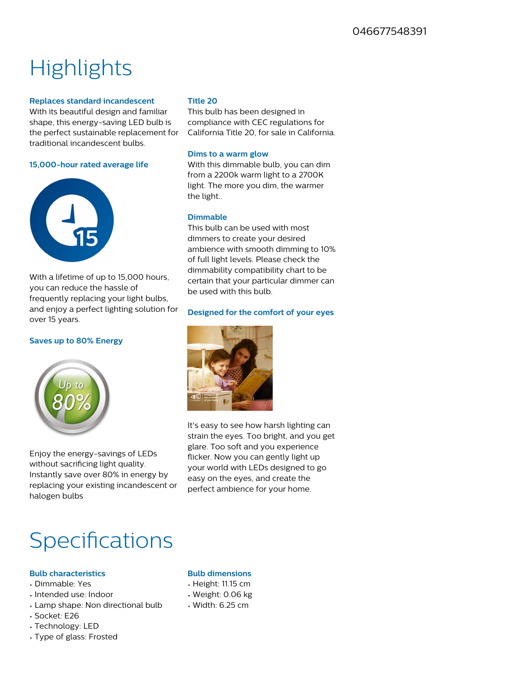## **Highlights**

### **Replaces standard incandescent**

With its beautiful design and familiar shape, this energy-saving LED bulb is the perfect sustainable replacement for traditional incandescent bulbs.

#### **15,000-hour rated average life**



With a lifetime of up to 15,000 hours, you can reduce the hassle of frequently replacing your light bulbs, and enjoy a perfect lighting solution for over 15 years.

### **Saves up to 80% Energy**



Enjoy the energy-savings of LEDs without sacrificing light quality. Instantly save over 80% in energy by replacing your existing incandescent or halogen bulbs

### **Title 20**

This bulb has been designed in compliance with CEC regulations for California Title 20, for sale in California.

### **Dims to a warm glow**

With this dimmable bulb, you can dim from a 2200k warm light to a 2700K light. The more you dim, the warmer the light..

### **Dimmable**

This bulb can be used with most dimmers to create your desired ambience with smooth dimming to 10% of full light levels. Please check the dimmability compatibility chart to be certain that your particular dimmer can be used with this bulb.

### **Designed for the comfort of your eyes**



It's easy to see how harsh lighting can strain the eyes. Too bright, and you get glare. Too soft and you experience flicker. Now you can gently light up your world with LEDs designed to go easy on the eyes, and create the perfect ambience for your home.

### **Specifications**

### **Bulb characteristics**

- Dimmable: Yes
- Intended use: Indoor
- Lamp shape: Non directional bulb
- Socket: E26
- Technology: LED
- Type of glass: Frosted

### **Bulb dimensions**

- Height: 11.15 cm
- Weight: 0.06 kg
- Width: 6.25 cm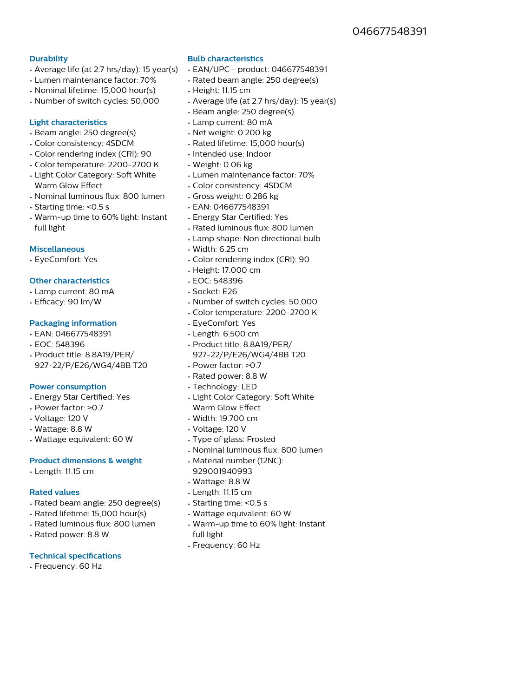### **Durability**

- Average life (at 2.7 hrs/day): 15 year(s)
- Lumen maintenance factor: 70%
- Nominal lifetime: 15,000 hour(s)
- Number of switch cycles: 50,000

### **Light characteristics**

- Beam angle: 250 degree(s)
- Color consistency: 4SDCM
- Color rendering index (CRI): 90
- Color temperature: 2200-2700 K
- Light Color Category: Soft White Warm Glow Effect
- Nominal luminous flux: 800 lumen
- Starting time: <0.5 s
- Warm-up time to 60% light: Instant full light

### **Miscellaneous**

• EyeComfort: Yes

### **Other characteristics**

- Lamp current: 80 mA
- Efficacy: 90 lm/W

### **Packaging information**

- EAN: 046677548391
- EOC: 548396
- Product title: 8.8A19/PER/ 927-22/P/E26/WG4/4BB T20

### **Power consumption**

- Energy Star Certified: Yes
- Power factor: >0.7
- Voltage: 120 V
- Wattage: 8.8 W
- Wattage equivalent: 60 W

#### **Product dimensions & weight**

• Length: 11.15 cm

### **Rated values**

- Rated beam angle: 250 degree(s)
- Rated lifetime: 15,000 hour(s)
- Rated luminous flux: 800 lumen
- Rated power: 8.8 W

### **Technical specifications**

• Frequency: 60 Hz

### **Bulb characteristics**

- EAN/UPC product: 046677548391
- Rated beam angle: 250 degree(s)
- Height: 11.15 cm
- Average life (at 2.7 hrs/day): 15 year(s)
- Beam angle: 250 degree(s)
- Lamp current: 80 mA
- Net weight: 0.200 kg
- Rated lifetime: 15,000 hour(s)
- Intended use: Indoor
- Weight: 0.06 kg
- Lumen maintenance factor: 70%
- Color consistency: 4SDCM
- Gross weight: 0.286 kg
- EAN: 046677548391
- Energy Star Certified: Yes
- Rated luminous flux: 800 lumen
- Lamp shape: Non directional bulb
- Width: 6.25 cm
- Color rendering index (CRI): 90
- Height: 17.000 cm
- EOC: 548396
- Socket: E26
- Number of switch cycles: 50,000
- Color temperature: 2200-2700 K
- EyeComfort: Yes
- Length: 6.500 cm
- Product title: 8.8A19/PER/ 927-22/P/E26/WG4/4BB T20
- Power factor: >0.7
- Rated power: 8.8 W
- Technology: LED
- Light Color Category: Soft White Warm Glow Effect
- Width: 19.700 cm
- Voltage: 120 V
- Type of glass: Frosted
- Nominal luminous flux: 800 lumen
- Material number (12NC): 929001940993
- Wattage: 8.8 W
- Length: 11.15 cm
- Starting time: <0.5 s
- Wattage equivalent: 60 W
- Warm-up time to 60% light: Instant full light
- Frequency: 60 Hz